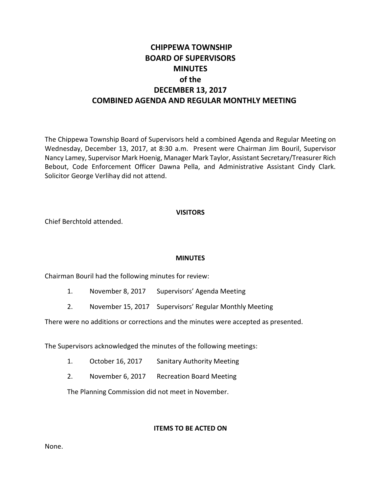# **CHIPPEWA TOWNSHIP BOARD OF SUPERVISORS MINUTES of the DECEMBER 13, 2017 COMBINED AGENDA AND REGULAR MONTHLY MEETING**

The Chippewa Township Board of Supervisors held a combined Agenda and Regular Meeting on Wednesday, December 13, 2017, at 8:30 a.m. Present were Chairman Jim Bouril, Supervisor Nancy Lamey, Supervisor Mark Hoenig, Manager Mark Taylor, Assistant Secretary/Treasurer Rich Bebout, Code Enforcement Officer Dawna Pella, and Administrative Assistant Cindy Clark. Solicitor George Verlihay did not attend.

#### **VISITORS**

Chief Berchtold attended.

### **MINUTES**

Chairman Bouril had the following minutes for review:

- 1. November 8, 2017 Supervisors' Agenda Meeting
- 2. November 15, 2017 Supervisors' Regular Monthly Meeting

There were no additions or corrections and the minutes were accepted as presented.

The Supervisors acknowledged the minutes of the following meetings:

- 1. October 16, 2017 Sanitary Authority Meeting
- 2. November 6, 2017 Recreation Board Meeting

The Planning Commission did not meet in November.

### **ITEMS TO BE ACTED ON**

None.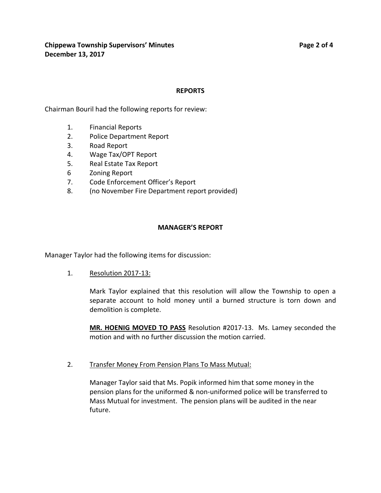#### **REPORTS**

Chairman Bouril had the following reports for review:

- 1. Financial Reports
- 2. Police Department Report
- 3. Road Report
- 4. Wage Tax/OPT Report
- 5. Real Estate Tax Report
- 6 Zoning Report
- 7. Code Enforcement Officer's Report
- 8. (no November Fire Department report provided)

#### **MANAGER'S REPORT**

Manager Taylor had the following items for discussion:

1. Resolution 2017-13:

Mark Taylor explained that this resolution will allow the Township to open a separate account to hold money until a burned structure is torn down and demolition is complete.

**MR. HOENIG MOVED TO PASS** Resolution #2017-13. Ms. Lamey seconded the motion and with no further discussion the motion carried.

2. Transfer Money From Pension Plans To Mass Mutual:

Manager Taylor said that Ms. Popik informed him that some money in the pension plans for the uniformed & non-uniformed police will be transferred to Mass Mutual for investment. The pension plans will be audited in the near future.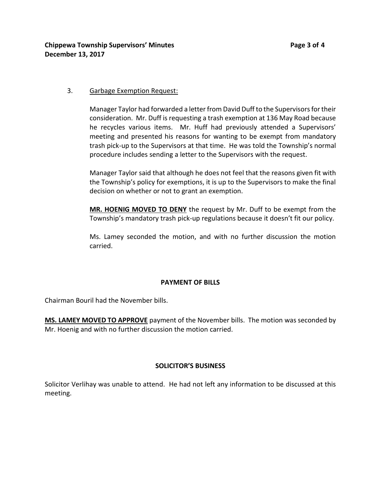### 3. Garbage Exemption Request:

Manager Taylor had forwarded a letter from David Duff to the Supervisors for their consideration. Mr. Duff is requesting a trash exemption at 136 May Road because he recycles various items. Mr. Huff had previously attended a Supervisors' meeting and presented his reasons for wanting to be exempt from mandatory trash pick-up to the Supervisors at that time. He was told the Township's normal procedure includes sending a letter to the Supervisors with the request.

Manager Taylor said that although he does not feel that the reasons given fit with the Township's policy for exemptions, it is up to the Supervisors to make the final decision on whether or not to grant an exemption.

**MR. HOENIG MOVED TO DENY** the request by Mr. Duff to be exempt from the Township's mandatory trash pick-up regulations because it doesn't fit our policy.

Ms. Lamey seconded the motion, and with no further discussion the motion carried.

### **PAYMENT OF BILLS**

Chairman Bouril had the November bills.

**MS. LAMEY MOVED TO APPROVE** payment of the November bills. The motion was seconded by Mr. Hoenig and with no further discussion the motion carried.

### **SOLICITOR'S BUSINESS**

Solicitor Verlihay was unable to attend. He had not left any information to be discussed at this meeting.